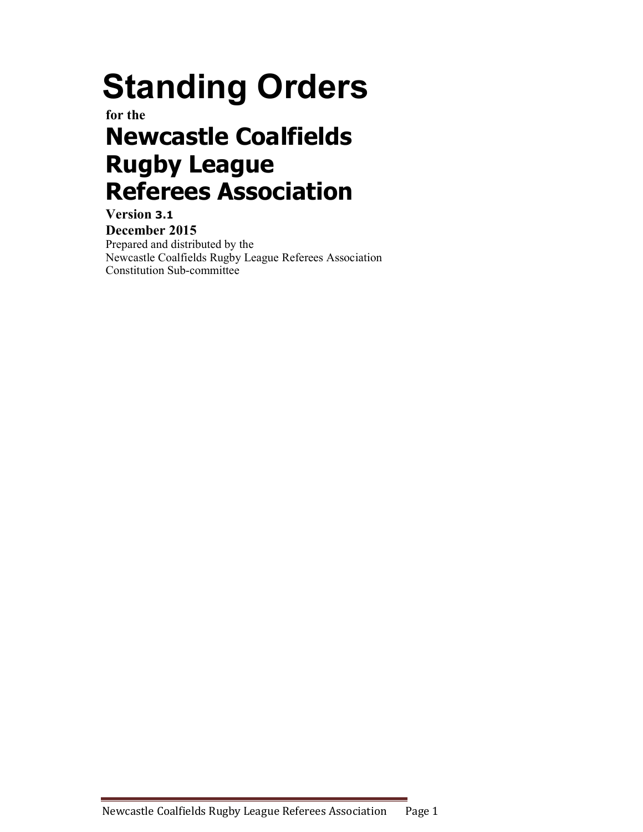# Standing Orders

for the

## Newcastle Coalfields Rugby League Referees Association

Version 3.1 December 2015 Prepared and distributed by the Newcastle Coalfields Rugby League Referees Association Constitution Sub-committee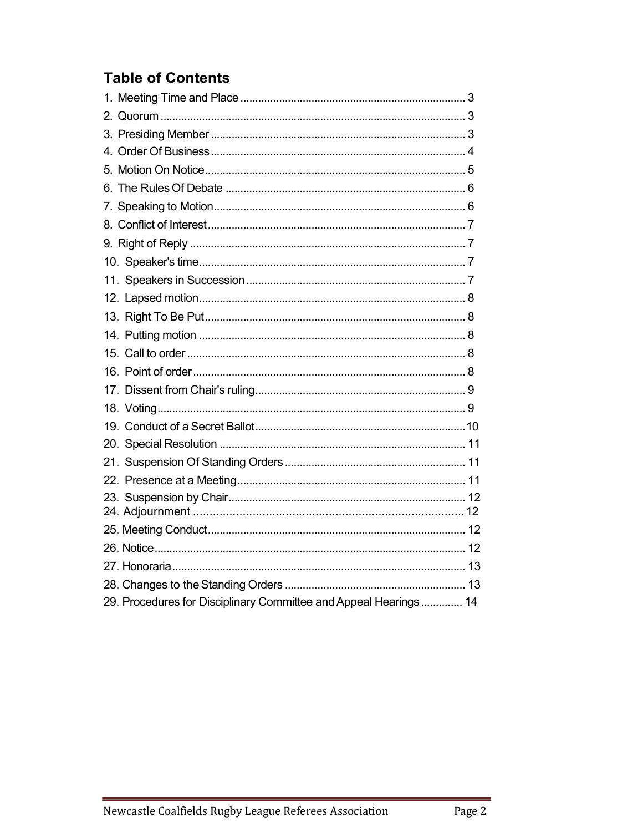### **Table of Contents**

| 29. Procedures for Disciplinary Committee and Appeal Hearings  14 |  |
|-------------------------------------------------------------------|--|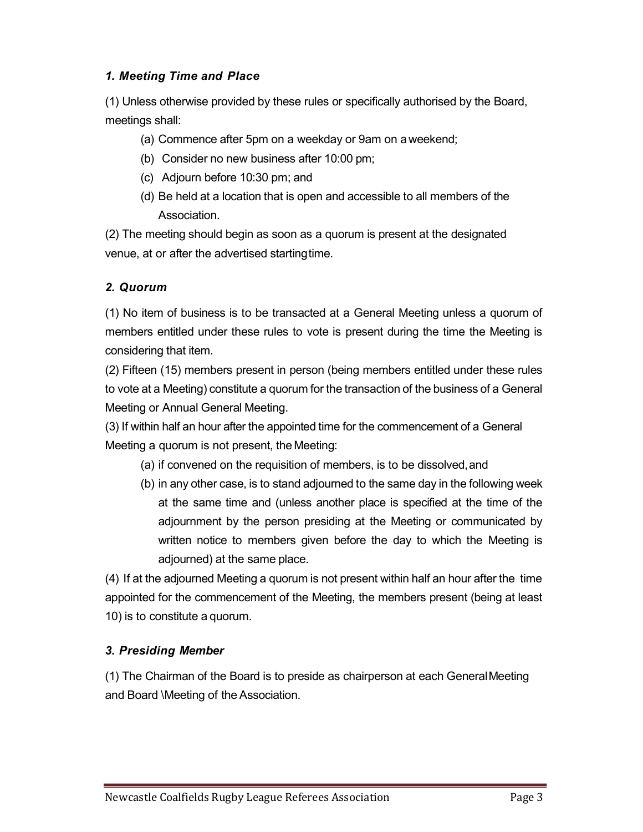#### 1. Meeting Time and Place

(1) Unless otherwise provided by these rules or specifically authorised by the Board, meetings shall:

(a) Commence after 5pm on a weekday or 9am on a weekend;

- (b) Consider no new business after 10:00 pm;
- (c) Adjourn before 10:30 pm; and
- (d) Be held at a location that is open and accessible to all members of the Association.

(2) The meeting should begin as soon as a quorum is present at the designated venue, at or after the advertised starting time.

#### 2. Quorum

(1) No item of business is to be transacted at a General Meeting unless a quorum of members entitled under these rules to vote is present during the time the Meeting is considering that item.

(2) Fifteen (15) members present in person (being members entitled under these rules to vote at a Meeting) constitute a quorum for the transaction of the business of a General Meeting or Annual General Meeting.

(3) If within half an hour after the appointed time for the commencement of a General Meeting a quorum is not present, the Meeting:

- (a) if convened on the requisition of members, is to be dissolved, and
- (b) in any other case, is to stand adjourned to the same day in the following week at the same time and (unless another place is specified at the time of the adjournment by the person presiding at the Meeting or communicated by written notice to members given before the day to which the Meeting is adjourned) at the same place.

(4) If at the adjourned Meeting a quorum is not present within half an hour after the time appointed for the commencement of the Meeting, the members present (being at least 10) is to constitute a quorum.

#### 3. Presiding Member

(1) The Chairman of the Board is to preside as chairperson at each General Meeting and Board \Meeting of the Association.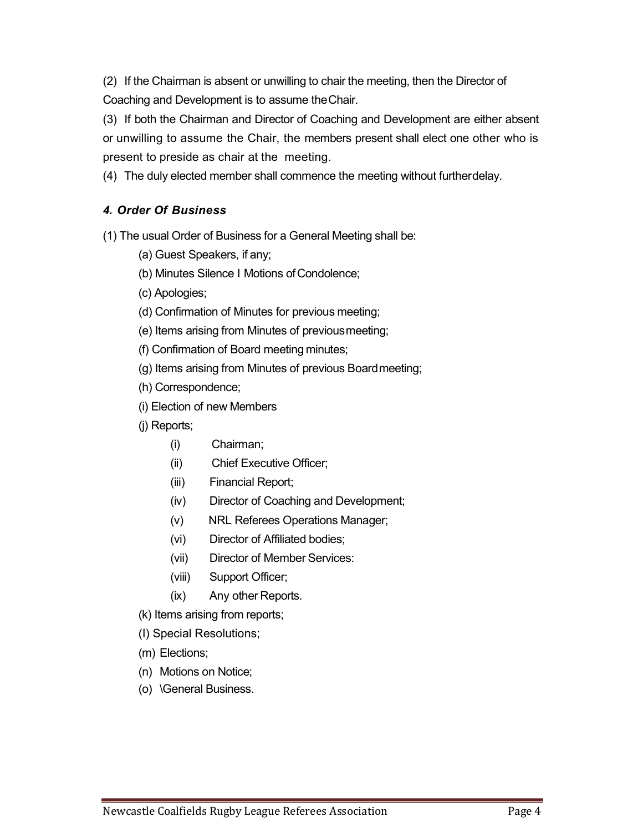(2) If the Chairman is absent or unwilling to chair the meeting, then the Director of Coaching and Development is to assume the Chair.

(3) If both the Chairman and Director of Coaching and Development are either absent or unwilling to assume the Chair, the members present shall elect one other who is present to preside as chair at the meeting.

(4) The duly elected member shall commence the meeting without further delay.

#### 4. Order Of Business

(1) The usual Order of Business for a General Meeting shall be:

- (a) Guest Speakers, if any;
- (b) Minutes Silence I Motions of Condolence;
- (c) Apologies;
- (d) Confirmation of Minutes for previous meeting;
- (e) Items arising from Minutes of previous meeting;
- (f) Confirmation of Board meeting minutes;
- (g) Items arising from Minutes of previous Board meeting;
- (h) Correspondence;
- (i) Election of new Members
- (j) Reports;
	- (i) Chairman;
	- (ii) Chief Executive Officer;
	- (iii) Financial Report;
	- (iv) Director of Coaching and Development;
	- (v) NRL Referees Operations Manager;
	- (vi) Director of Affiliated bodies;
	- (vii) Director of Member Services:
	- (viii) Support Officer;
	- (ix) Any other Reports.
- (k) Items arising from reports;
- (I) Special Resolutions;
- (m) Elections;
- (n) Motions on Notice;
- (o) \General Business.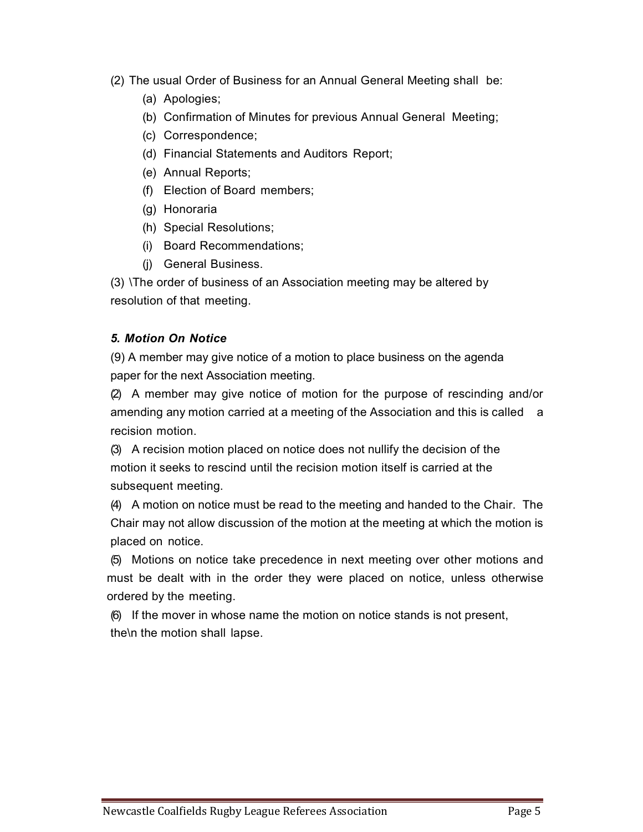- (2) The usual Order of Business for an Annual General Meeting shall be:
	- (a) Apologies;
	- (b) Confirmation of Minutes for previous Annual General Meeting;
	- (c) Correspondence;
	- (d) Financial Statements and Auditors Report;
	- (e) Annual Reports;
	- (f) Election of Board members;
	- (g) Honoraria
	- (h) Special Resolutions;
	- (i) Board Recommendations;
	- (j) General Business.

(3) \The order of business of an Association meeting may be altered by resolution of that meeting.

#### 5. Motion On Notice

(9) A member may give notice of a motion to place business on the agenda paper for the next Association meeting.

(2) A member may give notice of motion for the purpose of rescinding and/or amending any motion carried at a meeting of the Association and this is called a recision motion.

(3) A recision motion placed on notice does not nullify the decision of the motion it seeks to rescind until the recision motion itself is carried at the subsequent meeting.

(4) A motion on notice must be read to the meeting and handed to the Chair. The Chair may not allow discussion of the motion at the meeting at which the motion is placed on notice.

(5) Motions on notice take precedence in next meeting over other motions and must be dealt with in the order they were placed on notice, unless otherwise ordered by the meeting.

(6) If the mover in whose name the motion on notice stands is not present, the\n the motion shall lapse.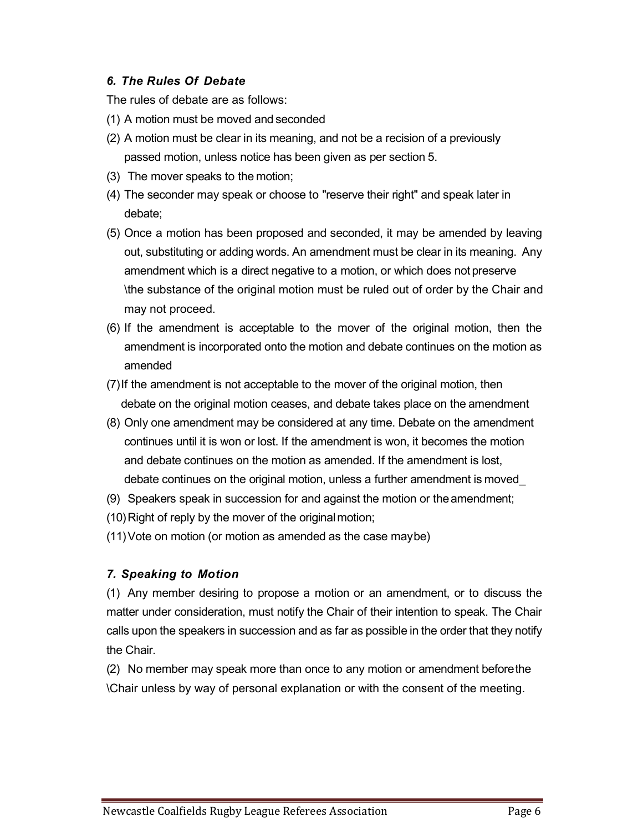#### 6. The Rules Of Debate

The rules of debate are as follows:

- (1) A motion must be moved and seconded
- (2) A motion must be clear in its meaning, and not be a recision of a previously passed motion, unless notice has been given as per section 5.
- (3) The mover speaks to the motion;
- (4) The seconder may speak or choose to "reserve their right" and speak later in debate;
- (5) Once a motion has been proposed and seconded, it may be amended by leaving out, substituting or adding words. An amendment must be clear in its meaning. Any amendment which is a direct negative to a motion, or which does not preserve \the substance of the original motion must be ruled out of order by the Chair and may not proceed.
- (6) If the amendment is acceptable to the mover of the original motion, then the amendment is incorporated onto the motion and debate continues on the motion as amended
- (7) If the amendment is not acceptable to the mover of the original motion, then debate on the original motion ceases, and debate takes place on the amendment
- (8) Only one amendment may be considered at any time. Debate on the amendment continues until it is won or lost. If the amendment is won, it becomes the motion and debate continues on the motion as amended. If the amendment is lost, debate continues on the original motion, unless a further amendment is moved\_
- (9) Speakers speak in succession for and against the motion or the amendment;
- (10) Right of reply by the mover of the original motion;
- (11) Vote on motion (or motion as amended as the case may be)

#### 7. Speaking to Motion

(1) Any member desiring to propose a motion or an amendment, or to discuss the matter under consideration, must notify the Chair of their intention to speak. The Chair calls upon the speakers in succession and as far as possible in the order that they notify the Chair.

(2) No member may speak more than once to any motion or amendment before the \Chair unless by way of personal explanation or with the consent of the meeting.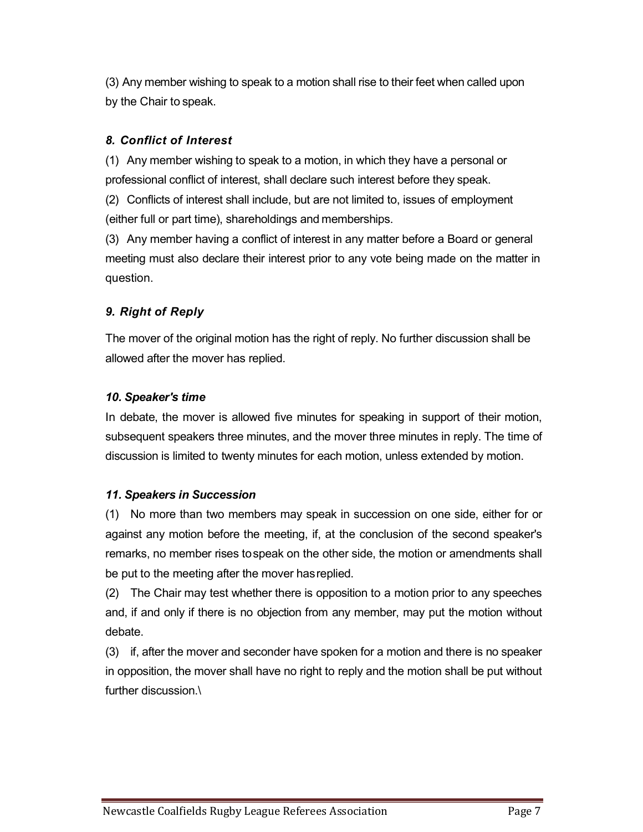(3) Any member wishing to speak to a motion shall rise to their feet when called upon by the Chair to speak.

#### 8. Conflict of Interest

(1) Any member wishing to speak to a motion, in which they have a personal or professional conflict of interest, shall declare such interest before they speak.

(2) Conflicts of interest shall include, but are not limited to, issues of employment (either full or part time), shareholdings and memberships.

(3) Any member having a conflict of interest in any matter before a Board or general meeting must also declare their interest prior to any vote being made on the matter in question.

#### 9. Right of Reply

The mover of the original motion has the right of reply. No further discussion shall be allowed after the mover has replied.

#### 10. Speaker's time

In debate, the mover is allowed five minutes for speaking in support of their motion, subsequent speakers three minutes, and the mover three minutes in reply. The time of discussion is limited to twenty minutes for each motion, unless extended by motion.

#### 11. Speakers in Succession

(1) No more than two members may speak in succession on one side, either for or against any motion before the meeting, if, at the conclusion of the second speaker's remarks, no member rises to speak on the other side, the motion or amendments shall be put to the meeting after the mover has replied.

(2) The Chair may test whether there is opposition to a motion prior to any speeches and, if and only if there is no objection from any member, may put the motion without debate.

(3) if, after the mover and seconder have spoken for a motion and there is no speaker in opposition, the mover shall have no right to reply and the motion shall be put without further discussion.\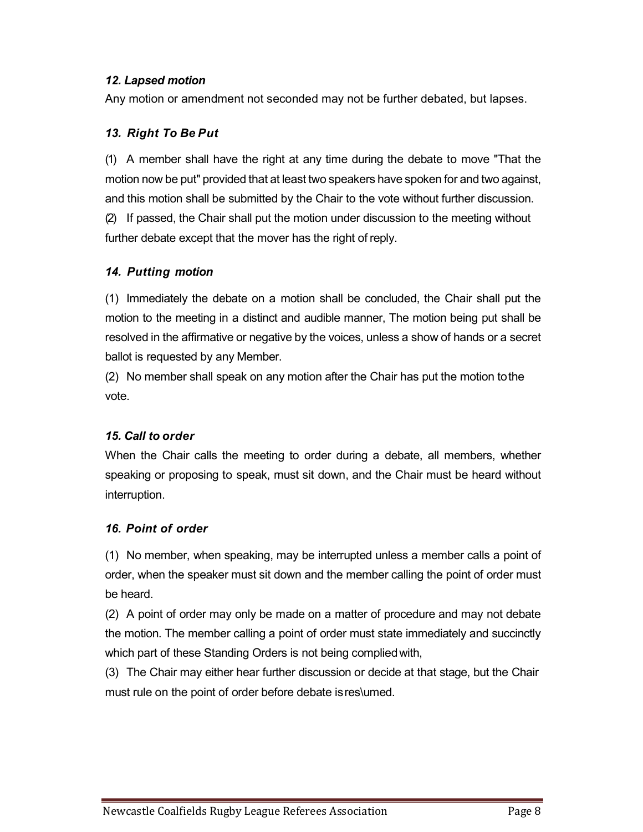#### 12. Lapsed motion

Any motion or amendment not seconded may not be further debated, but lapses.

#### 13. Right To Be Put

(1) A member shall have the right at any time during the debate to move "That the motion now be put" provided that at least two speakers have spoken for and two against, and this motion shall be submitted by the Chair to the vote without further discussion. (2) If passed, the Chair shall put the motion under discussion to the meeting without further debate except that the mover has the right of reply.

#### 14. Putting motion

(1) Immediately the debate on a motion shall be concluded, the Chair shall put the motion to the meeting in a distinct and audible manner, The motion being put shall be resolved in the affirmative or negative by the voices, unless a show of hands or a secret ballot is requested by any Member.

(2) No member shall speak on any motion after the Chair has put the motion to the vote.

#### 15. Call to order

When the Chair calls the meeting to order during a debate, all members, whether speaking or proposing to speak, must sit down, and the Chair must be heard without interruption.

#### 16. Point of order

(1) No member, when speaking, may be interrupted unless a member calls a point of order, when the speaker must sit down and the member calling the point of order must be heard.

(2) A point of order may only be made on a matter of procedure and may not debate the motion. The member calling a point of order must state immediately and succinctly which part of these Standing Orders is not being complied with,

(3) The Chair may either hear further discussion or decide at that stage, but the Chair must rule on the point of order before debate is res\umed.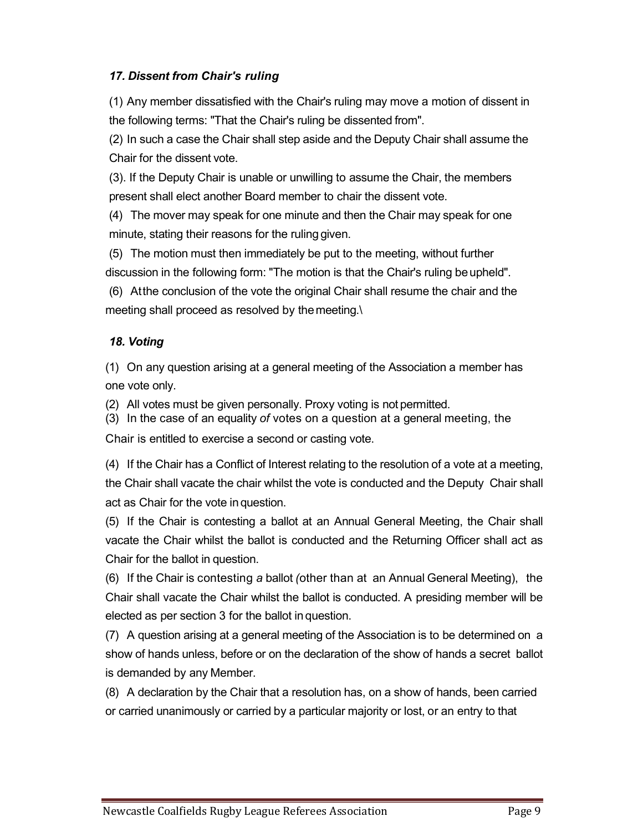#### 17. Dissent from Chair's ruling

(1) Any member dissatisfied with the Chair's ruling may move a motion of dissent in the following terms: "That the Chair's ruling be dissented from".

(2) In such a case the Chair shall step aside and the Deputy Chair shall assume the Chair for the dissent vote.

(3). If the Deputy Chair is unable or unwilling to assume the Chair, the members present shall elect another Board member to chair the dissent vote.

(4) The mover may speak for one minute and then the Chair may speak for one minute, stating their reasons for the ruling given.

(5) The motion must then immediately be put to the meeting, without further discussion in the following form: "The motion is that the Chair's ruling be upheld".

(6) At the conclusion of the vote the original Chair shall resume the chair and the meeting shall proceed as resolved by the meeting.\

#### 18. Voting

(1) On any question arising at a general meeting of the Association a member has one vote only.

(2) All votes must be given personally. Proxy voting is not permitted.

(3) In the case of an equality of votes on a question at a general meeting, the

Chair is entitled to exercise a second or casting vote.

(4) If the Chair has a Conflict of Interest relating to the resolution of a vote at a meeting, the Chair shall vacate the chair whilst the vote is conducted and the Deputy Chair shall act as Chair for the vote in question.

(5) If the Chair is contesting a ballot at an Annual General Meeting, the Chair shall vacate the Chair whilst the ballot is conducted and the Returning Officer shall act as Chair for the ballot in question.

(6) If the Chair is contesting a ballot (other than at an Annual General Meeting), the Chair shall vacate the Chair whilst the ballot is conducted. A presiding member will be elected as per section 3 for the ballot in question.

(7) A question arising at a general meeting of the Association is to be determined on a show of hands unless, before or on the declaration of the show of hands a secret ballot is demanded by any Member.

(8) A declaration by the Chair that a resolution has, on a show of hands, been carried or carried unanimously or carried by a particular majority or lost, or an entry to that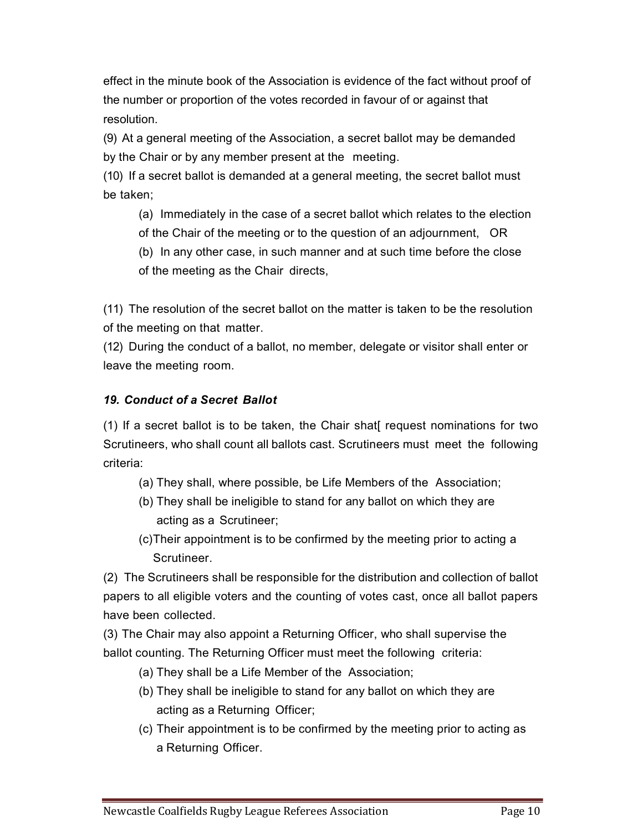effect in the minute book of the Association is evidence of the fact without proof of the number or proportion of the votes recorded in favour of or against that resolution.

(9) At a general meeting of the Association, a secret ballot may be demanded by the Chair or by any member present at the meeting.

(10) If a secret ballot is demanded at a general meeting, the secret ballot must be taken;

(a) Immediately in the case of a secret ballot which relates to the election of the Chair of the meeting or to the question of an adjournment, OR

(b) In any other case, in such manner and at such time before the close of the meeting as the Chair directs,

(11) The resolution of the secret ballot on the matter is taken to be the resolution of the meeting on that matter.

(12) During the conduct of a ballot, no member, delegate or visitor shall enter or leave the meeting room.

#### 19. Conduct of a Secret Ballot

(1) If a secret ballot is to be taken, the Chair shat[ request nominations for two Scrutineers, who shall count all ballots cast. Scrutineers must meet the following criteria:

- (a) They shall, where possible, be Life Members of the Association;
- (b) They shall be ineligible to stand for any ballot on which they are acting as a Scrutineer;
- (c) Their appointment is to be confirmed by the meeting prior to acting a Scrutineer.

(2) The Scrutineers shall be responsible for the distribution and collection of ballot papers to all eligible voters and the counting of votes cast, once all ballot papers have been collected.

(3) The Chair may also appoint a Returning Officer, who shall supervise the ballot counting. The Returning Officer must meet the following criteria:

- (a) They shall be a Life Member of the Association;
- (b) They shall be ineligible to stand for any ballot on which they are acting as a Returning Officer;
- (c) Their appointment is to be confirmed by the meeting prior to acting as a Returning Officer.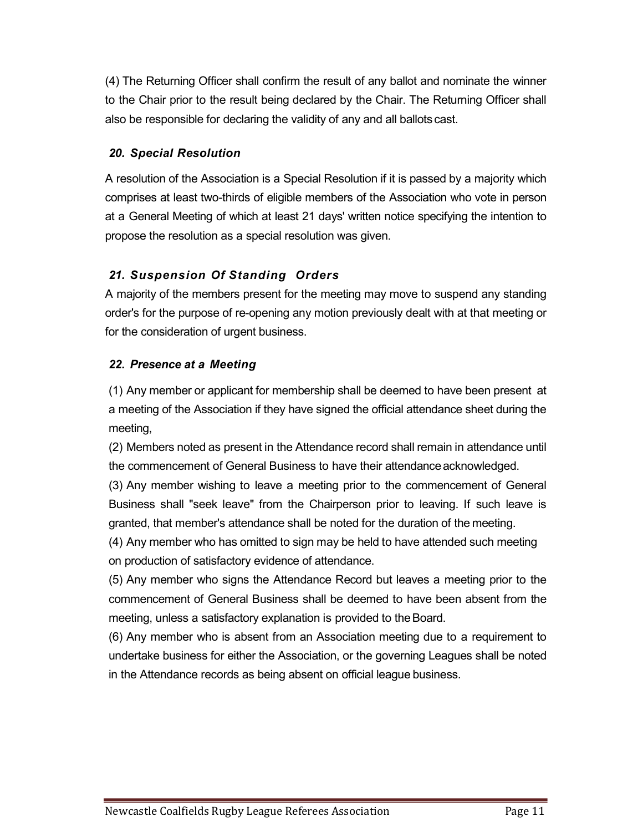(4) The Returning Officer shall confirm the result of any ballot and nominate the winner to the Chair prior to the result being declared by the Chair. The Returning Officer shall also be responsible for declaring the validity of any and all ballots cast.

#### 20. Special Resolution

A resolution of the Association is a Special Resolution if it is passed by a majority which comprises at least two-thirds of eligible members of the Association who vote in person at a General Meeting of which at least 21 days' written notice specifying the intention to propose the resolution as a special resolution was given.

#### 21. Suspension Of Standing Orders

A majority of the members present for the meeting may move to suspend any standing order's for the purpose of re-opening any motion previously dealt with at that meeting or for the consideration of urgent business.

#### 22. Presence at a Meeting

(1) Any member or applicant for membership shall be deemed to have been present at a meeting of the Association if they have signed the official attendance sheet during the meeting,

(2) Members noted as present in the Attendance record shall remain in attendance until the commencement of General Business to have their attendance acknowledged.

(3) Any member wishing to leave a meeting prior to the commencement of General Business shall "seek leave" from the Chairperson prior to leaving. If such leave is granted, that member's attendance shall be noted for the duration of the meeting.

(4) Any member who has omitted to sign may be held to have attended such meeting on production of satisfactory evidence of attendance.

(5) Any member who signs the Attendance Record but leaves a meeting prior to the commencement of General Business shall be deemed to have been absent from the meeting, unless a satisfactory explanation is provided to the Board.

(6) Any member who is absent from an Association meeting due to a requirement to undertake business for either the Association, or the governing Leagues shall be noted in the Attendance records as being absent on official league business.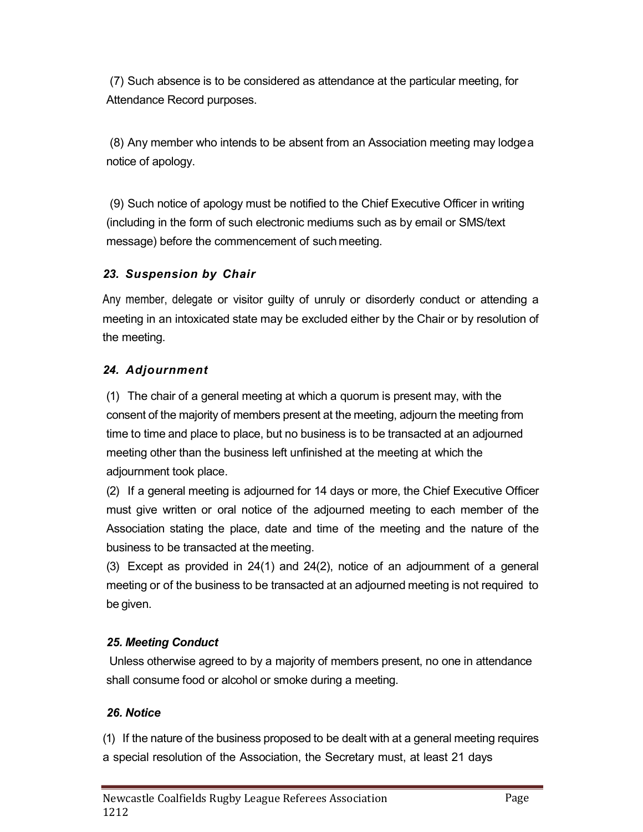(7) Such absence is to be considered as attendance at the particular meeting, for Attendance Record purposes.

(8) Any member who intends to be absent from an Association meeting may lodge a notice of apology.

(9) Such notice of apology must be notified to the Chief Executive Officer in writing (including in the form of such electronic mediums such as by email or SMS/text message) before the commencement of such meeting.

#### 23. Suspension by Chair

Any member, delegate or visitor guilty of unruly or disorderly conduct or attending a meeting in an intoxicated state may be excluded either by the Chair or by resolution of the meeting.

#### 24. Adjournment

(1) The chair of a general meeting at which a quorum is present may, with the consent of the majority of members present at the meeting, adjourn the meeting from time to time and place to place, but no business is to be transacted at an adjourned meeting other than the business left unfinished at the meeting at which the adjournment took place.

(2) If a general meeting is adjourned for 14 days or more, the Chief Executive Officer must give written or oral notice of the adjourned meeting to each member of the Association stating the place, date and time of the meeting and the nature of the business to be transacted at the meeting.

(3) Except as provided in 24(1) and 24(2), notice of an adjournment of a general meeting or of the business to be transacted at an adjourned meeting is not required to be given.

#### 25. Meeting Conduct

Unless otherwise agreed to by a majority of members present, no one in attendance shall consume food or alcohol or smoke during a meeting.

#### 26. Notice

(1) If the nature of the business proposed to be dealt with at a general meeting requires a special resolution of the Association, the Secretary must, at least 21 days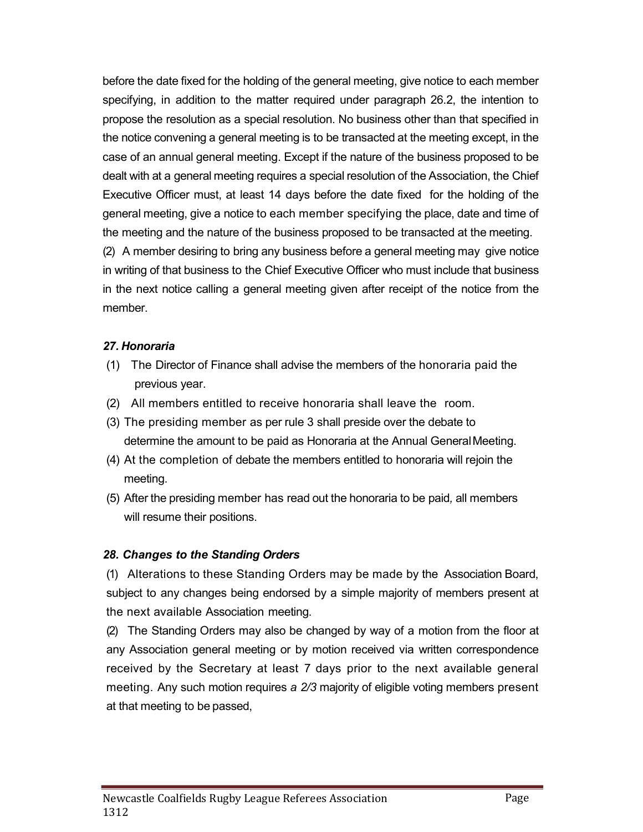before the date fixed for the holding of the general meeting, give notice to each member specifying, in addition to the matter required under paragraph 26.2, the intention to propose the resolution as a special resolution. No business other than that specified in the notice convening a general meeting is to be transacted at the meeting except, in the case of an annual general meeting. Except if the nature of the business proposed to be dealt with at a general meeting requires a special resolution of the Association, the Chief Executive Officer must, at least 14 days before the date fixed for the holding of the general meeting, give a notice to each member specifying the place, date and time of the meeting and the nature of the business proposed to be transacted at the meeting. (2) A member desiring to bring any business before a general meeting may give notice in writing of that business to the Chief Executive Officer who must include that business in the next notice calling a general meeting given after receipt of the notice from the

#### 27. Honoraria

member.

- (1) The Director of Finance shall advise the members of the honoraria paid the previous year.
- (2) All members entitled to receive honoraria shall leave the room.
- (3) The presiding member as per rule 3 shall preside over the debate to determine the amount to be paid as Honoraria at the Annual General Meeting.
- (4) At the completion of debate the members entitled to honoraria will rejoin the meeting.
- (5) After the presiding member has read out the honoraria to be paid, all members will resume their positions.

#### 28. Changes to the Standing Orders

(1) Alterations to these Standing Orders may be made by the Association Board, subject to any changes being endorsed by a simple majority of members present at the next available Association meeting.

(2) The Standing Orders may also be changed by way of a motion from the floor at any Association general meeting or by motion received via written correspondence received by the Secretary at least 7 days prior to the next available general meeting. Any such motion requires a 2/3 majority of eligible voting members present at that meeting to be passed,